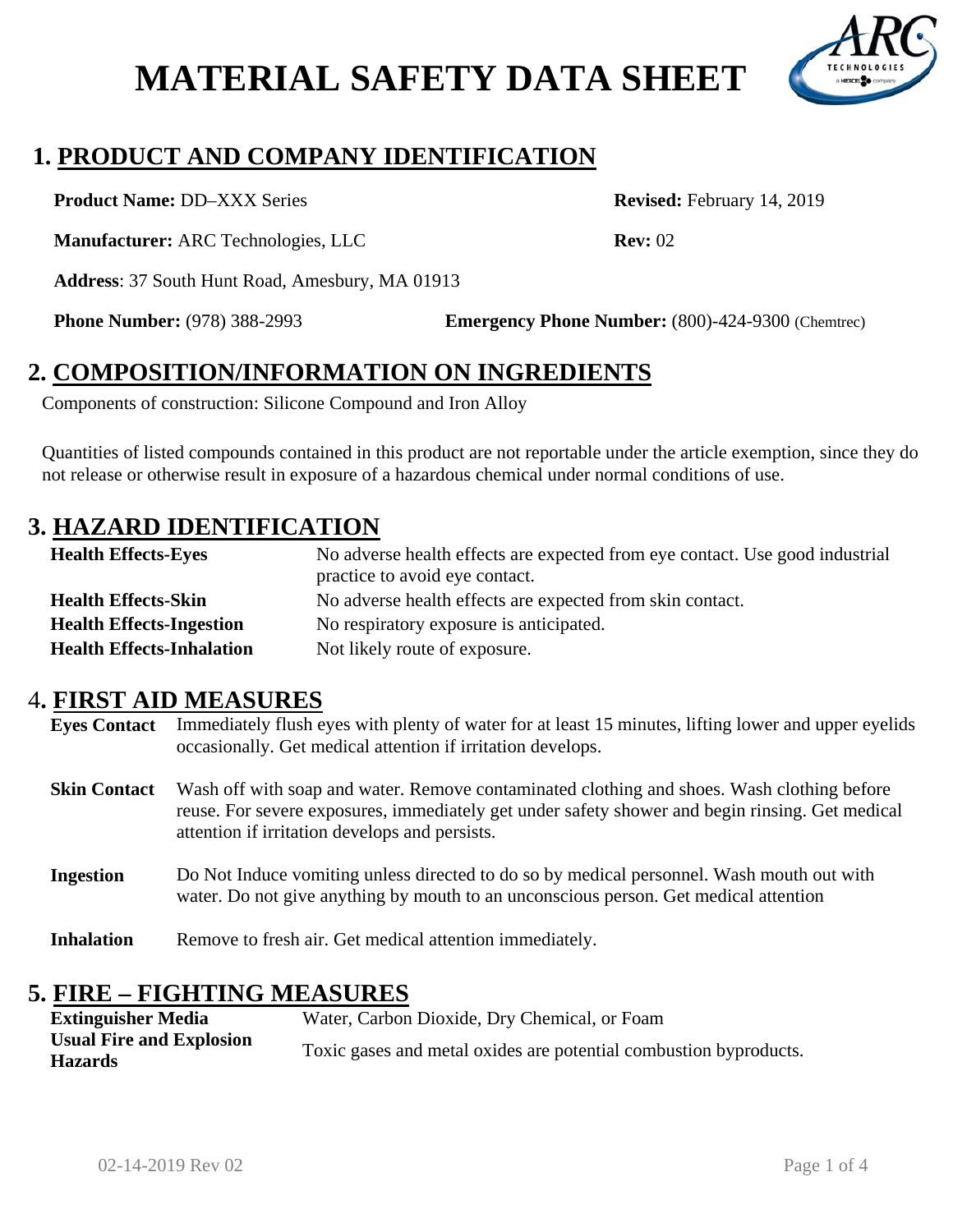

### **1. PRODUCT AND COMPANY IDENTIFICATION**

**Product Name: DD–XXX Series** Revised: February 14, 2019

**Manufacturer:** ARC Technologies, LLC Rev: 02

**Address**: 37 South Hunt Road, Amesbury, MA 01913

**Phone Number:** (978) 388-2993 **Emergency Phone Number:** (800)-424-9300 (Chemtrec)

## **2. COMPOSITION/INFORMATION ON INGREDIENTS**

Components of construction: Silicone Compound and Iron Alloy

Quantities of listed compounds contained in this product are not reportable under the article exemption, since they do not release or otherwise result in exposure of a hazardous chemical under normal conditions of use.

## **3. HAZARD IDENTIFICATION**

| <b>Health Effects-Eyes</b>       | No adverse health effects are expected from eye contact. Use good industrial<br>practice to avoid eye contact. |
|----------------------------------|----------------------------------------------------------------------------------------------------------------|
| <b>Health Effects-Skin</b>       | No adverse health effects are expected from skin contact.                                                      |
| <b>Health Effects-Ingestion</b>  | No respiratory exposure is anticipated.                                                                        |
| <b>Health Effects-Inhalation</b> | Not likely route of exposure.                                                                                  |

#### 4**. FIRST AID MEASURES**

**Eyes Contact** Immediately flush eyes with plenty of water for at least 15 minutes, lifting lower and upper eyelids occasionally. Get medical attention if irritation develops.

**Skin Contact** Wash off with soap and water. Remove contaminated clothing and shoes. Wash clothing before reuse. For severe exposures, immediately get under safety shower and begin rinsing. Get medical attention if irritation develops and persists.

- **Ingestion** Do Not Induce vomiting unless directed to do so by medical personnel. Wash mouth out with water. Do not give anything by mouth to an unconscious person. Get medical attention
- **Inhalation** Remove to fresh air. Get medical attention immediately.

## **5. FIRE – FIGHTING MEASURES**

**Extinguisher Media** Water, Carbon Dioxide, Dry Chemical, or Foam **Usual Fire and Explosion Hazards Hazards Toxic gases and metal oxides are potential combustion byproducts.**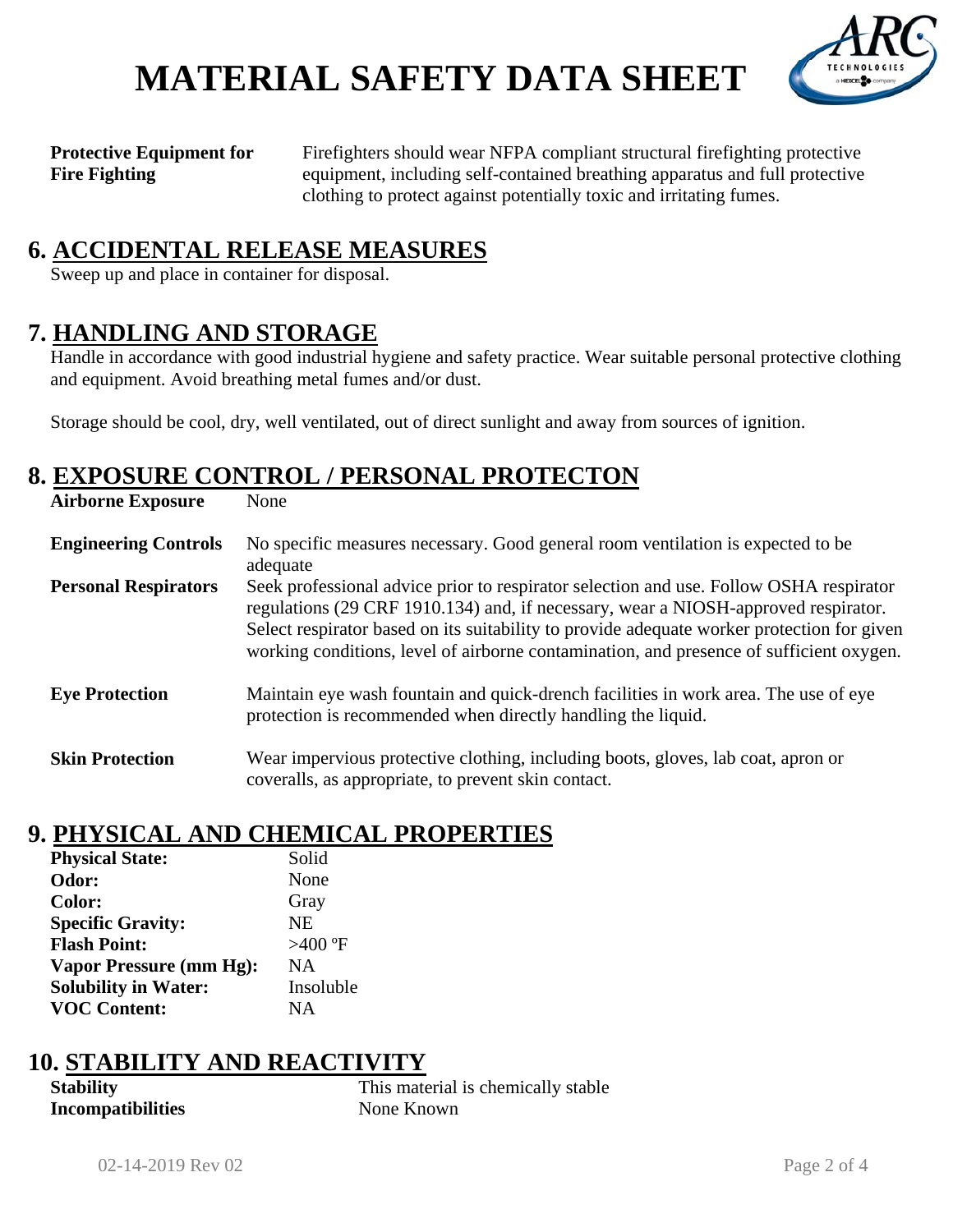

**Protective Equipment for Fire Fighting** 

Firefighters should wear NFPA compliant structural firefighting protective equipment, including self-contained breathing apparatus and full protective clothing to protect against potentially toxic and irritating fumes.

### **6. ACCIDENTAL RELEASE MEASURES**

Sweep up and place in container for disposal.

### **7. HANDLING AND STORAGE**

Handle in accordance with good industrial hygiene and safety practice. Wear suitable personal protective clothing and equipment. Avoid breathing metal fumes and/or dust.

Storage should be cool, dry, well ventilated, out of direct sunlight and away from sources of ignition.

#### **8. EXPOSURE CONTROL / PERSONAL PROTECTON**

| <b>Airborne Exposure</b>    | None                                                                                                                                                                                                                                                                                                                                                                  |
|-----------------------------|-----------------------------------------------------------------------------------------------------------------------------------------------------------------------------------------------------------------------------------------------------------------------------------------------------------------------------------------------------------------------|
| <b>Engineering Controls</b> | No specific measures necessary. Good general room ventilation is expected to be<br>adequate                                                                                                                                                                                                                                                                           |
| <b>Personal Respirators</b> | Seek professional advice prior to respirator selection and use. Follow OSHA respirator<br>regulations (29 CRF 1910.134) and, if necessary, wear a NIOSH-approved respirator.<br>Select respirator based on its suitability to provide adequate worker protection for given<br>working conditions, level of airborne contamination, and presence of sufficient oxygen. |
| <b>Eye Protection</b>       | Maintain eye wash fountain and quick-drench facilities in work area. The use of eye<br>protection is recommended when directly handling the liquid.                                                                                                                                                                                                                   |
| <b>Skin Protection</b>      | Wear impervious protective clothing, including boots, gloves, lab coat, apron or<br>coveralls, as appropriate, to prevent skin contact.                                                                                                                                                                                                                               |

#### **9. PHYSICAL AND CHEMICAL PROPERTIES**

| <b>Physical State:</b>      | Solid     |
|-----------------------------|-----------|
| Odor:                       | None      |
| <b>Color:</b>               | Gray      |
| <b>Specific Gravity:</b>    | <b>NE</b> |
| <b>Flash Point:</b>         | $>400$ °F |
| Vapor Pressure (mm Hg):     | <b>NA</b> |
| <b>Solubility in Water:</b> | Insoluble |
| <b>VOC Content:</b>         | <b>NA</b> |
|                             |           |

### **10. STABILITY AND REACTIVITY**

| Stability                |  |
|--------------------------|--|
| <b>Incompatibilities</b> |  |

This material is chemically stable **None Known**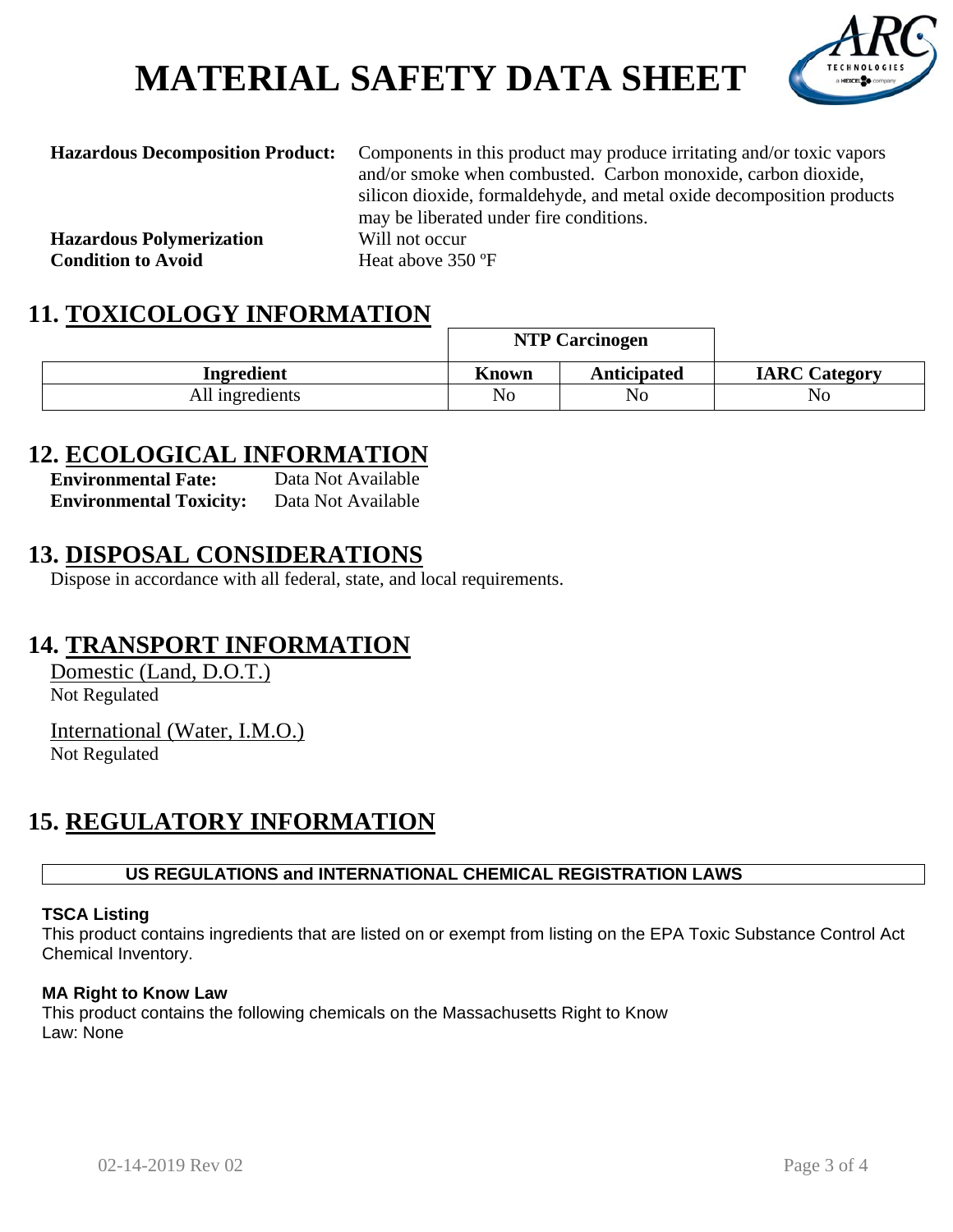

**Hazardous Decomposition Product:** Components in this product may produce irritating and/or toxic vapors and/or smoke when combusted. Carbon monoxide, carbon dioxide, silicon dioxide, formaldehyde, and metal oxide decomposition products may be liberated under fire conditions. **Hazardous Polymerization** Will not occur

## **Condition to Avoid Heat above 350 °F**

#### **11. TOXICOLOGY INFORMATION**

|                 | <b>NTP Carcinogen</b> |                    |                      |  |
|-----------------|-----------------------|--------------------|----------------------|--|
| Ingredient      | <b>Known</b>          | <b>Anticipated</b> | <b>IARC Category</b> |  |
| All ingredients | No                    | No                 | No                   |  |

### **12. ECOLOGICAL INFORMATION**

**Environmental Fate:** Data Not Available **Environmental Toxicity:** Data Not Available

#### **13. DISPOSAL CONSIDERATIONS**

Dispose in accordance with all federal, state, and local requirements.

#### **14. TRANSPORT INFORMATION**

Domestic (Land, D.O.T.) Not Regulated

International (Water, I.M.O.)

Not Regulated

### **15. REGULATORY INFORMATION**

#### **US REGULATIONS and INTERNATIONAL CHEMICAL REGISTRATION LAWS**

#### **TSCA Listing**

This product contains ingredients that are listed on or exempt from listing on the EPA Toxic Substance Control Act Chemical Inventory.

#### **MA Right to Know Law**

This product contains the following chemicals on the Massachusetts Right to Know Law: None